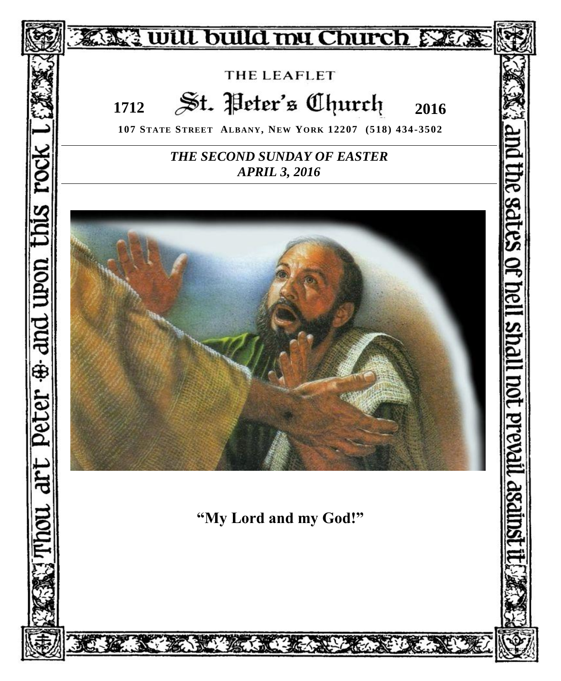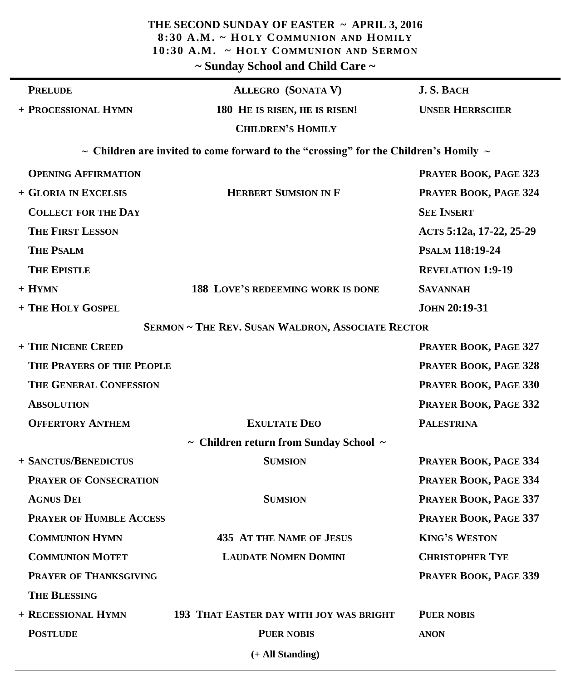| THE SECOND SUNDAY OF EASTER ~ APRIL 3, 2016<br>8:30 A.M. ~ HOLY COMMUNION AND HOMILY<br>10:30 A.M. ~ HOLY COMMUNION AND SERMON<br>~ Sunday School and Child Care ~ |                                                                                                |                          |
|--------------------------------------------------------------------------------------------------------------------------------------------------------------------|------------------------------------------------------------------------------------------------|--------------------------|
| <b>PRELUDE</b>                                                                                                                                                     | <b>ALLEGRO</b> (SONATA V)                                                                      | J.S. BACH                |
| + PROCESSIONAL HYMN                                                                                                                                                | 180 HE IS RISEN, HE IS RISEN!                                                                  | <b>UNSER HERRSCHER</b>   |
|                                                                                                                                                                    | <b>CHILDREN'S HOMILY</b>                                                                       |                          |
|                                                                                                                                                                    | $\sim$ Children are invited to come forward to the "crossing" for the Children's Homily $\sim$ |                          |
| <b>OPENING AFFIRMATION</b>                                                                                                                                         |                                                                                                | PRAYER BOOK, PAGE 323    |
| + GLORIA IN EXCELSIS                                                                                                                                               | <b>HERBERT SUMSION IN F</b>                                                                    | PRAYER BOOK, PAGE 324    |
| <b>COLLECT FOR THE DAY</b>                                                                                                                                         |                                                                                                | <b>SEE INSERT</b>        |
| <b>THE FIRST LESSON</b>                                                                                                                                            |                                                                                                | ACTS 5:12a, 17-22, 25-29 |
| <b>THE PSALM</b>                                                                                                                                                   |                                                                                                | <b>PSALM 118:19-24</b>   |
| <b>THE EPISTLE</b>                                                                                                                                                 |                                                                                                | <b>REVELATION 1:9-19</b> |
| $+$ HYMN                                                                                                                                                           | <b>188 LOVE'S REDEEMING WORK IS DONE</b>                                                       | <b>SAVANNAH</b>          |
| + THE HOLY GOSPEL                                                                                                                                                  |                                                                                                | <b>JOHN 20:19-31</b>     |
| SERMON ~ THE REV. SUSAN WALDRON, ASSOCIATE RECTOR                                                                                                                  |                                                                                                |                          |
| + THE NICENE CREED                                                                                                                                                 |                                                                                                | PRAYER BOOK, PAGE 327    |
| THE PRAYERS OF THE PEOPLE                                                                                                                                          |                                                                                                | PRAYER BOOK, PAGE 328    |
| <b>THE GENERAL CONFESSION</b>                                                                                                                                      |                                                                                                | PRAYER BOOK, PAGE 330    |
| <b>ABSOLUTION</b>                                                                                                                                                  |                                                                                                | PRAYER BOOK, PAGE 332    |
| <b>OFFERTORY ANTHEM</b>                                                                                                                                            | <b>EXULTATE DEO</b>                                                                            | <b>PALESTRINA</b>        |
| $\sim\,$ Children return from Sunday School $\,\sim\,$                                                                                                             |                                                                                                |                          |
| + SANCTUS/BENEDICTUS                                                                                                                                               | <b>SUMSION</b>                                                                                 | PRAYER BOOK, PAGE 334    |
| <b>PRAYER OF CONSECRATION</b>                                                                                                                                      |                                                                                                | PRAYER BOOK, PAGE 334    |
| <b>AGNUS DEI</b>                                                                                                                                                   | <b>SUMSION</b>                                                                                 | PRAYER BOOK, PAGE 337    |
| <b>PRAYER OF HUMBLE ACCESS</b>                                                                                                                                     |                                                                                                | PRAYER BOOK, PAGE 337    |
| <b>COMMUNION HYMN</b>                                                                                                                                              | <b>435 AT THE NAME OF JESUS</b>                                                                | <b>KING'S WESTON</b>     |
| <b>COMMUNION MOTET</b>                                                                                                                                             | <b>LAUDATE NOMEN DOMINI</b>                                                                    | <b>CHRISTOPHER TYE</b>   |
| <b>PRAYER OF THANKSGIVING</b>                                                                                                                                      |                                                                                                | PRAYER BOOK, PAGE 339    |
| <b>THE BLESSING</b>                                                                                                                                                |                                                                                                |                          |
| + RECESSIONAL HYMN                                                                                                                                                 | <b>193 THAT EASTER DAY WITH JOY WAS BRIGHT</b>                                                 | <b>PUER NOBIS</b>        |
| <b>POSTLUDE</b>                                                                                                                                                    | <b>PUER NOBIS</b>                                                                              | <b>ANON</b>              |
|                                                                                                                                                                    | (+ All Standing)                                                                               |                          |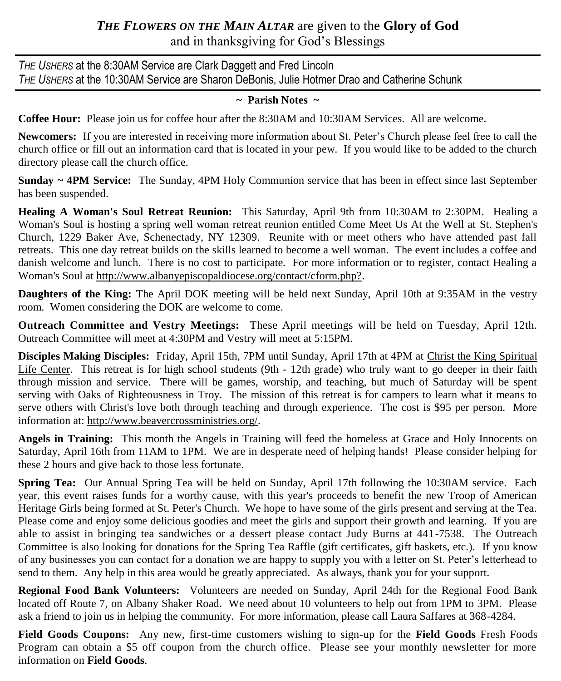# *THE FLOWERS ON THE MAIN ALTAR* are given to the **Glory of God** and in thanksgiving for God's Blessings

*THE USHERS* at the 8:30AM Service are Clark Daggett and Fred Lincoln *THE USHERS* at the 10:30AM Service are Sharon DeBonis, Julie Hotmer Drao and Catherine Schunk

### **~ Parish Notes ~**

**Coffee Hour:** Please join us for coffee hour after the 8:30AM and 10:30AM Services. All are welcome.

**Newcomers:** If you are interested in receiving more information about St. Peter's Church please feel free to call the church office or fill out an information card that is located in your pew. If you would like to be added to the church directory please call the church office.

**Sunday ~ 4PM Service:** The Sunday, 4PM Holy Communion service that has been in effect since last September has been suspended.

**Healing A Woman's Soul Retreat Reunion:** This Saturday, April 9th from 10:30AM to 2:30PM. [Healing a](https://sites.google.com/site/healingawomanssoul/)  [Woman's Soul](https://sites.google.com/site/healingawomanssoul/) is hosting a spring well woman retreat reunion entitled Come Meet Us At the Well at [St. Stephen's](http://www.saintstephenschenectady.org/)  [Church,](http://www.saintstephenschenectady.org/) 1229 Baker Ave, Schenectady, NY 12309. Reunite with or meet others who have attended past fall retreats. This one day retreat builds on the skills learned to become a well woman. The event includes a coffee and danish welcome and lunch. There is no cost to participate. For more information or to register, contact Healing a Woman's Soul at http://www.albanyepiscopaldiocese.org/contact/cform.php?.

**Daughters of the King:** The April DOK meeting will be held next Sunday, April 10th at 9:35AM in the vestry room. Women considering the DOK are welcome to come.

**Outreach Committee and Vestry Meetings:** These April meetings will be held on Tuesday, April 12th. Outreach Committee will meet at 4:30PM and Vestry will meet at 5:15PM.

**Disciples Making Disciples:** Friday, April 15th, 7PM until Sunday, April 17th at 4PM at [Christ the King Spiritual](http://www.ctkcenter.org/)  [Life Center.](http://www.ctkcenter.org/) This retreat is for high school students (9th - 12th grade) who truly want to go deeper in their faith through mission and service. There will be games, worship, and teaching, but much of Saturday will be spent serving with Oaks of Righteousness in Troy. The mission of this retreat is for campers to learn what it means to serve others with Christ's love both through teaching and through experience. The cost is \$95 per person. More information at: http://www.beavercrossministries.org/.

**Angels in Training:** This month the Angels in Training will feed the homeless at Grace and Holy Innocents on Saturday, April 16th from 11AM to 1PM. We are in desperate need of helping hands! Please consider helping for these 2 hours and give back to those less fortunate.

**Spring Tea:** Our Annual Spring Tea will be held on Sunday, April 17th following the 10:30AM service. Each year, this event raises funds for a worthy cause, with this year's proceeds to benefit the new Troop of American Heritage Girls being formed at St. Peter's Church. We hope to have some of the girls present and serving at the Tea. Please come and enjoy some delicious goodies and meet the girls and support their growth and learning. If you are able to assist in bringing tea sandwiches or a dessert please contact Judy Burns at 441-7538. The Outreach Committee is also looking for donations for the Spring Tea Raffle (gift certificates, gift baskets, etc.). If you know of any businesses you can contact for a donation we are happy to supply you with a letter on St. Peter's letterhead to send to them. Any help in this area would be greatly appreciated. As always, thank you for your support.

**Regional Food Bank Volunteers:** Volunteers are needed on Sunday, April 24th for the Regional Food Bank located off Route 7, on Albany Shaker Road. We need about 10 volunteers to help out from 1PM to 3PM. Please ask a friend to join us in helping the community. For more information, please call Laura Saffares at 368-4284.

**Field Goods Coupons:** Any new, first-time customers wishing to sign-up for the **Field Goods** Fresh Foods Program can obtain a \$5 off coupon from the church office. Please see your monthly newsletter for more information on **Field Goods**.